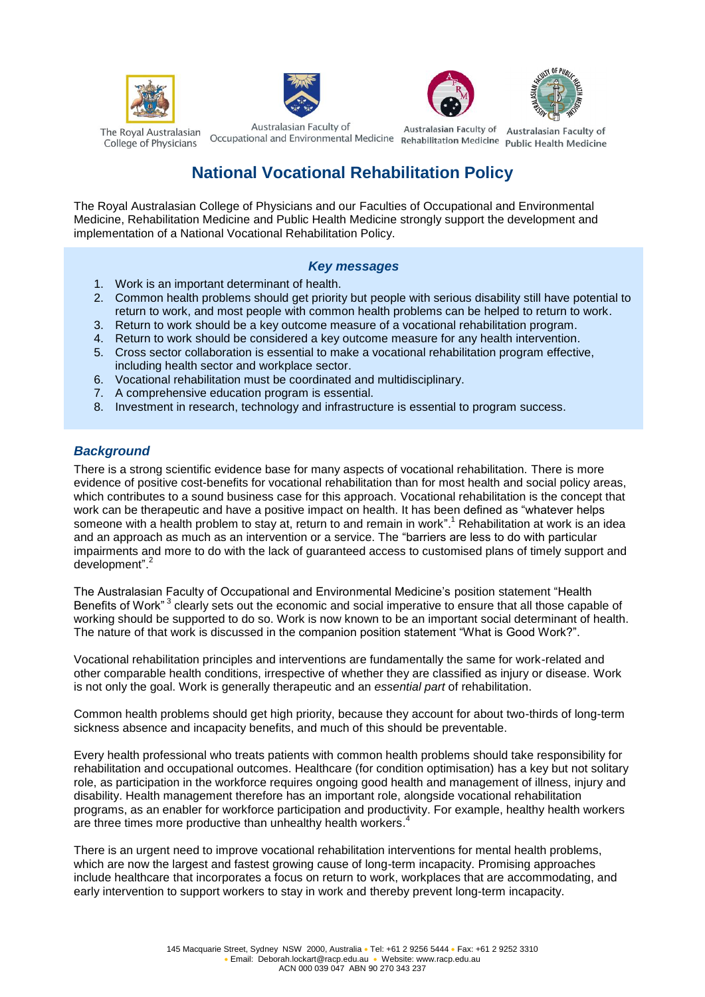







The Royal Australasian College of Physicians

Australasian Faculty of Australiasian Faculty of Australiasian Faculty of Australiasian Faculty of Occupational and Environmental Medicine Rehabilitation Medicine Public Health Medicine

Australasian Faculty of

Australasian Faculty of

# **National Vocational Rehabilitation Policy**

The Royal Australasian College of Physicians and our Faculties of Occupational and Environmental Medicine, Rehabilitation Medicine and Public Health Medicine strongly support the development and implementation of a National Vocational Rehabilitation Policy.

#### *Key messages*

- 1. Work is an important determinant of health.
- 2. Common health problems should get priority but people with serious disability still have potential to return to work, and most people with common health problems can be helped to return to work.
- 3. Return to work should be a key outcome measure of a vocational rehabilitation program.
- 4. Return to work should be considered a key outcome measure for any health intervention.
- 5. Cross sector collaboration is essential to make a vocational rehabilitation program effective, including health sector and workplace sector.
- 6. Vocational rehabilitation must be coordinated and multidisciplinary.
- 7. A comprehensive education program is essential.
- 8. Investment in research, technology and infrastructure is essential to program success.

## *Background*

There is a strong scientific evidence base for many aspects of vocational rehabilitation. There is more evidence of positive cost-benefits for vocational rehabilitation than for most health and social policy areas, which contributes to a sound business case for this approach. Vocational rehabilitation is the concept that work can be therapeutic and have a positive impact on health. It has been defined as "whatever helps someone with a health problem to stay at, return to and remain in work".<sup>1</sup> Rehabilitation at work is an idea and an approach as much as an intervention or a service. The "barriers are less to do with particular impairments and more to do with the lack of guaranteed access to customised plans of timely support and development".<sup>2</sup>

The Australasian Faculty of Occupational and Environmental Medicine's position statement "Health Benefits of Work"<sup>3</sup> clearly sets out the economic and social imperative to ensure that all those capable of working should be supported to do so. Work is now known to be an important social determinant of health. The nature of that work is discussed in the companion position statement "What is Good Work?".

Vocational rehabilitation principles and interventions are fundamentally the same for work-related and other comparable health conditions, irrespective of whether they are classified as injury or disease. Work is not only the goal. Work is generally therapeutic and an *essential part* of rehabilitation.

Common health problems should get high priority, because they account for about two-thirds of long-term sickness absence and incapacity benefits, and much of this should be preventable.

Every health professional who treats patients with common health problems should take responsibility for rehabilitation and occupational outcomes. Healthcare (for condition optimisation) has a key but not solitary role, as participation in the workforce requires ongoing good health and management of illness, injury and disability. Health management therefore has an important role, alongside vocational rehabilitation programs, as an enabler for workforce participation and productivity. For example, healthy health workers are three times more productive than unhealthy health workers.<sup>4</sup>

There is an urgent need to improve vocational rehabilitation interventions for mental health problems, which are now the largest and fastest growing cause of long-term incapacity. Promising approaches include healthcare that incorporates a focus on return to work, workplaces that are accommodating, and early intervention to support workers to stay in work and thereby prevent long-term incapacity.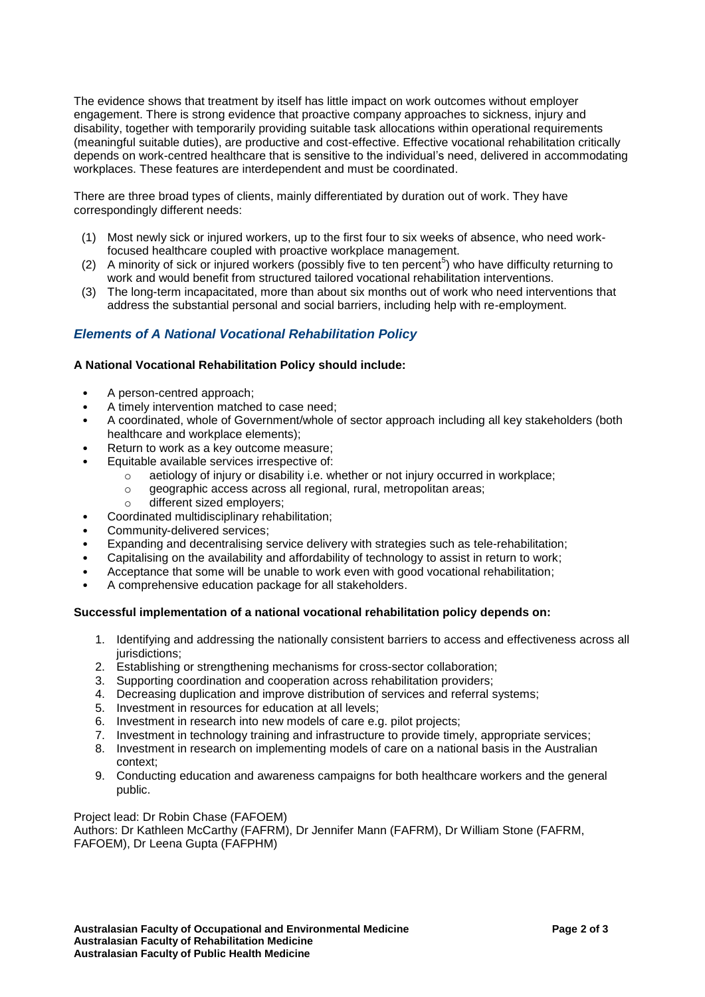The evidence shows that treatment by itself has little impact on work outcomes without employer engagement. There is strong evidence that proactive company approaches to sickness, injury and disability, together with temporarily providing suitable task allocations within operational requirements (meaningful suitable duties), are productive and cost-effective. Effective vocational rehabilitation critically depends on work-centred healthcare that is sensitive to the individual's need, delivered in accommodating workplaces. These features are interdependent and must be coordinated.

There are three broad types of clients, mainly differentiated by duration out of work. They have correspondingly different needs:

- (1) Most newly sick or injured workers, up to the first four to six weeks of absence, who need workfocused healthcare coupled with proactive workplace management.
- $(2)$  A minority of sick or injured workers (possibly five to ten percent<sup>5</sup>) who have difficulty returning to work and would benefit from structured tailored vocational rehabilitation interventions.
- (3) The long-term incapacitated, more than about six months out of work who need interventions that address the substantial personal and social barriers, including help with re-employment.

## *Elements of A National Vocational Rehabilitation Policy*

#### **A National Vocational Rehabilitation Policy should include:**

- A person-centred approach;
- A timely intervention matched to case need;
- A coordinated, whole of Government/whole of sector approach including all key stakeholders (both healthcare and workplace elements);
- Return to work as a key outcome measure;
- Equitable available services irrespective of:
	- $\circ$  aetiology of injury or disability i.e. whether or not injury occurred in workplace:
	- o geographic access across all regional, rural, metropolitan areas;
	- o different sized employers;
- Coordinated multidisciplinary rehabilitation;
- Community-delivered services;
- Expanding and decentralising service delivery with strategies such as tele-rehabilitation;
- Capitalising on the availability and affordability of technology to assist in return to work;
- Acceptance that some will be unable to work even with good vocational rehabilitation;
- A comprehensive education package for all stakeholders.

#### **Successful implementation of a national vocational rehabilitation policy depends on:**

- 1. Identifying and addressing the nationally consistent barriers to access and effectiveness across all jurisdictions;
- 2. Establishing or strengthening mechanisms for cross-sector collaboration;
- 3. Supporting coordination and cooperation across rehabilitation providers;
- 4. Decreasing duplication and improve distribution of services and referral systems;
- 5. Investment in resources for education at all levels;
- 6. Investment in research into new models of care e.g. pilot projects;
- 7. Investment in technology training and infrastructure to provide timely, appropriate services;
- 8. Investment in research on implementing models of care on a national basis in the Australian context;
- 9. Conducting education and awareness campaigns for both healthcare workers and the general public.

Project lead: Dr Robin Chase (FAFOEM)

Authors: Dr Kathleen McCarthy (FAFRM), Dr Jennifer Mann (FAFRM), Dr William Stone (FAFRM, FAFOEM), Dr Leena Gupta (FAFPHM)